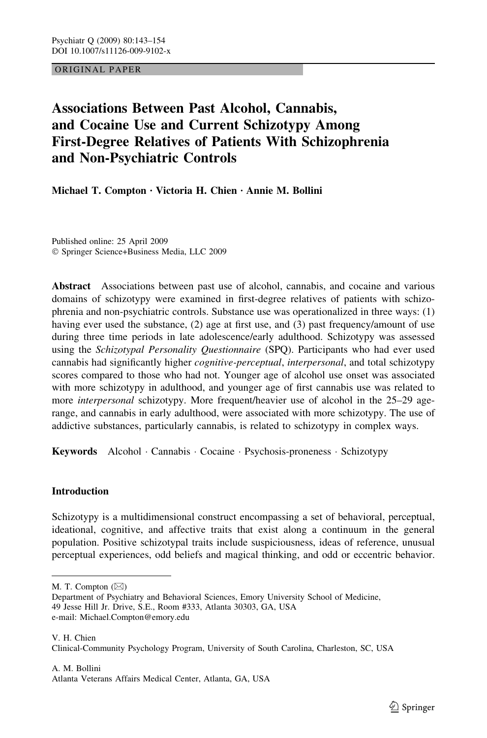ORIGINAL PAPER

# Associations Between Past Alcohol, Cannabis, and Cocaine Use and Current Schizotypy Among First-Degree Relatives of Patients With Schizophrenia and Non-Psychiatric Controls

# Michael T. Compton · Victoria H. Chien · Annie M. Bollini

Published online: 25 April 2009 Springer Science+Business Media, LLC 2009

Abstract Associations between past use of alcohol, cannabis, and cocaine and various domains of schizotypy were examined in first-degree relatives of patients with schizophrenia and non-psychiatric controls. Substance use was operationalized in three ways: (1) having ever used the substance, (2) age at first use, and (3) past frequency/amount of use during three time periods in late adolescence/early adulthood. Schizotypy was assessed using the Schizotypal Personality Questionnaire (SPQ). Participants who had ever used cannabis had significantly higher *cognitive-perceptual*, *interpersonal*, and total schizotypy scores compared to those who had not. Younger age of alcohol use onset was associated with more schizotypy in adulthood, and younger age of first cannabis use was related to more *interpersonal* schizotypy. More frequent/heavier use of alcohol in the 25–29 agerange, and cannabis in early adulthood, were associated with more schizotypy. The use of addictive substances, particularly cannabis, is related to schizotypy in complex ways.

Keywords Alcohol Cannabis Cocaine Psychosis-proneness Schizotypy

# Introduction

Schizotypy is a multidimensional construct encompassing a set of behavioral, perceptual, ideational, cognitive, and affective traits that exist along a continuum in the general population. Positive schizotypal traits include suspiciousness, ideas of reference, unusual perceptual experiences, odd beliefs and magical thinking, and odd or eccentric behavior.

M. T. Compton  $(\boxtimes)$ 

Department of Psychiatry and Behavioral Sciences, Emory University School of Medicine, 49 Jesse Hill Jr. Drive, S.E., Room #333, Atlanta 30303, GA, USA e-mail: Michael.Compton@emory.edu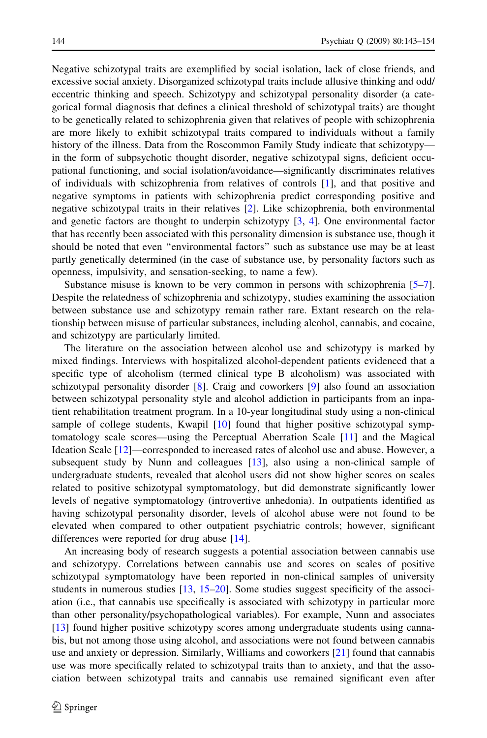Negative schizotypal traits are exemplified by social isolation, lack of close friends, and excessive social anxiety. Disorganized schizotypal traits include allusive thinking and odd/ eccentric thinking and speech. Schizotypy and schizotypal personality disorder (a categorical formal diagnosis that defines a clinical threshold of schizotypal traits) are thought to be genetically related to schizophrenia given that relatives of people with schizophrenia are more likely to exhibit schizotypal traits compared to individuals without a family history of the illness. Data from the Roscommon Family Study indicate that schizotypy in the form of subpsychotic thought disorder, negative schizotypal signs, deficient occupational functioning, and social isolation/avoidance—significantly discriminates relatives of individuals with schizophrenia from relatives of controls [\[1](#page-9-0)], and that positive and negative symptoms in patients with schizophrenia predict corresponding positive and negative schizotypal traits in their relatives [\[2](#page-9-0)]. Like schizophrenia, both environmental and genetic factors are thought to underpin schizotypy [\[3,](#page-9-0) [4\]](#page-9-0). One environmental factor that has recently been associated with this personality dimension is substance use, though it should be noted that even ''environmental factors'' such as substance use may be at least partly genetically determined (in the case of substance use, by personality factors such as openness, impulsivity, and sensation-seeking, to name a few).

Substance misuse is known to be very common in persons with schizophrenia [[5–7](#page-9-0)]. Despite the relatedness of schizophrenia and schizotypy, studies examining the association between substance use and schizotypy remain rather rare. Extant research on the relationship between misuse of particular substances, including alcohol, cannabis, and cocaine, and schizotypy are particularly limited.

The literature on the association between alcohol use and schizotypy is marked by mixed findings. Interviews with hospitalized alcohol-dependent patients evidenced that a specific type of alcoholism (termed clinical type B alcoholism) was associated with schizotypal personality disorder [[8\]](#page-9-0). Craig and coworkers [[9\]](#page-10-0) also found an association between schizotypal personality style and alcohol addiction in participants from an inpatient rehabilitation treatment program. In a 10-year longitudinal study using a non-clinical sample of college students, Kwapil [[10](#page-10-0)] found that higher positive schizotypal symptomatology scale scores—using the Perceptual Aberration Scale [\[11\]](#page-10-0) and the Magical Ideation Scale [[12\]](#page-10-0)—corresponded to increased rates of alcohol use and abuse. However, a subsequent study by Nunn and colleagues [\[13\]](#page-10-0), also using a non-clinical sample of undergraduate students, revealed that alcohol users did not show higher scores on scales related to positive schizotypal symptomatology, but did demonstrate significantly lower levels of negative symptomatology (introvertive anhedonia). In outpatients identified as having schizotypal personality disorder, levels of alcohol abuse were not found to be elevated when compared to other outpatient psychiatric controls; however, significant differences were reported for drug abuse [\[14](#page-10-0)].

An increasing body of research suggests a potential association between cannabis use and schizotypy. Correlations between cannabis use and scores on scales of positive schizotypal symptomatology have been reported in non-clinical samples of university students in numerous studies [[13](#page-10-0), [15–20\]](#page-10-0). Some studies suggest specificity of the association (i.e., that cannabis use specifically is associated with schizotypy in particular more than other personality/psychopathological variables). For example, Nunn and associates [[13](#page-10-0)] found higher positive schizotypy scores among undergraduate students using cannabis, but not among those using alcohol, and associations were not found between cannabis use and anxiety or depression. Similarly, Williams and coworkers [[21](#page-10-0)] found that cannabis use was more specifically related to schizotypal traits than to anxiety, and that the association between schizotypal traits and cannabis use remained significant even after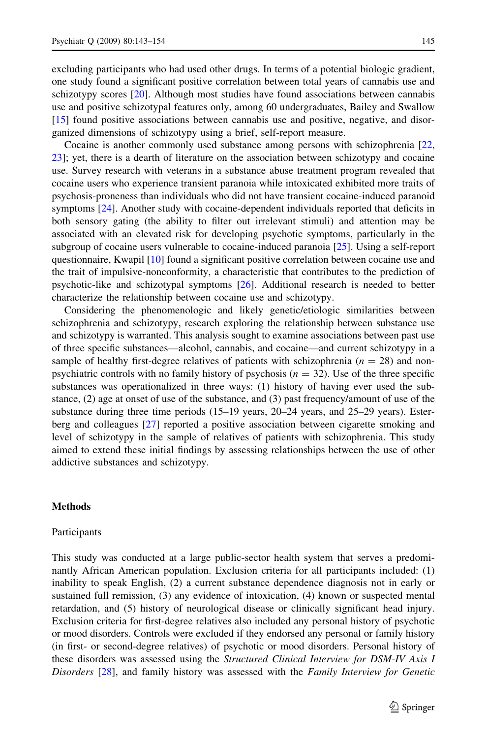excluding participants who had used other drugs. In terms of a potential biologic gradient, one study found a significant positive correlation between total years of cannabis use and schizotypy scores [\[20\]](#page-10-0). Although most studies have found associations between cannabis use and positive schizotypal features only, among 60 undergraduates, Bailey and Swallow [[15](#page-10-0)] found positive associations between cannabis use and positive, negative, and disorganized dimensions of schizotypy using a brief, self-report measure.

Cocaine is another commonly used substance among persons with schizophrenia [[22](#page-10-0), [23](#page-10-0)]; yet, there is a dearth of literature on the association between schizotypy and cocaine use. Survey research with veterans in a substance abuse treatment program revealed that cocaine users who experience transient paranoia while intoxicated exhibited more traits of psychosis-proneness than individuals who did not have transient cocaine-induced paranoid symptoms [[24\]](#page-10-0). Another study with cocaine-dependent individuals reported that deficits in both sensory gating (the ability to filter out irrelevant stimuli) and attention may be associated with an elevated risk for developing psychotic symptoms, particularly in the subgroup of cocaine users vulnerable to cocaine-induced paranoia [[25](#page-10-0)]. Using a self-report questionnaire, Kwapil [[10](#page-10-0)] found a significant positive correlation between cocaine use and the trait of impulsive-nonconformity, a characteristic that contributes to the prediction of psychotic-like and schizotypal symptoms [[26](#page-10-0)]. Additional research is needed to better characterize the relationship between cocaine use and schizotypy.

Considering the phenomenologic and likely genetic/etiologic similarities between schizophrenia and schizotypy, research exploring the relationship between substance use and schizotypy is warranted. This analysis sought to examine associations between past use of three specific substances—alcohol, cannabis, and cocaine—and current schizotypy in a sample of healthy first-degree relatives of patients with schizophrenia ( $n = 28$ ) and nonpsychiatric controls with no family history of psychosis ( $n = 32$ ). Use of the three specific substances was operationalized in three ways: (1) history of having ever used the substance, (2) age at onset of use of the substance, and (3) past frequency/amount of use of the substance during three time periods (15–19 years, 20–24 years, and 25–29 years). Esterberg and colleagues [[27](#page-10-0)] reported a positive association between cigarette smoking and level of schizotypy in the sample of relatives of patients with schizophrenia. This study aimed to extend these initial findings by assessing relationships between the use of other addictive substances and schizotypy.

### Methods

#### Participants

This study was conducted at a large public-sector health system that serves a predominantly African American population. Exclusion criteria for all participants included: (1) inability to speak English, (2) a current substance dependence diagnosis not in early or sustained full remission, (3) any evidence of intoxication, (4) known or suspected mental retardation, and (5) history of neurological disease or clinically significant head injury. Exclusion criteria for first-degree relatives also included any personal history of psychotic or mood disorders. Controls were excluded if they endorsed any personal or family history (in first- or second-degree relatives) of psychotic or mood disorders. Personal history of these disorders was assessed using the Structured Clinical Interview for DSM-IV Axis I Disorders [[28](#page-10-0)], and family history was assessed with the Family Interview for Genetic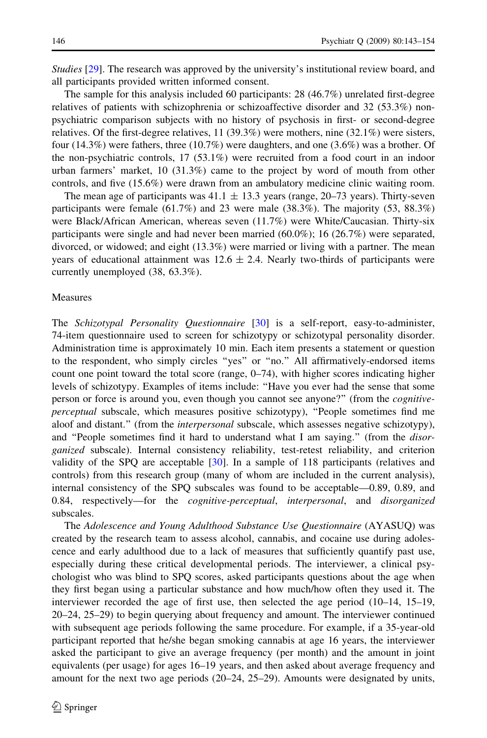Studies [[29](#page-10-0)]. The research was approved by the university's institutional review board, and all participants provided written informed consent.

The sample for this analysis included 60 participants: 28 (46.7%) unrelated first-degree relatives of patients with schizophrenia or schizoaffective disorder and 32 (53.3%) nonpsychiatric comparison subjects with no history of psychosis in first- or second-degree relatives. Of the first-degree relatives, 11 (39.3%) were mothers, nine (32.1%) were sisters, four (14.3%) were fathers, three (10.7%) were daughters, and one (3.6%) was a brother. Of the non-psychiatric controls, 17 (53.1%) were recruited from a food court in an indoor urban farmers' market, 10 (31.3%) came to the project by word of mouth from other controls, and five (15.6%) were drawn from an ambulatory medicine clinic waiting room.

The mean age of participants was  $41.1 \pm 13.3$  years (range, 20–73 years). Thirty-seven participants were female (61.7%) and 23 were male (38.3%). The majority (53, 88.3%) were Black/African American, whereas seven (11.7%) were White/Caucasian. Thirty-six participants were single and had never been married (60.0%); 16 (26.7%) were separated, divorced, or widowed; and eight (13.3%) were married or living with a partner. The mean years of educational attainment was  $12.6 \pm 2.4$ . Nearly two-thirds of participants were currently unemployed (38, 63.3%).

#### Measures

The Schizotypal Personality Questionnaire [\[30\]](#page-10-0) is a self-report, easy-to-administer, 74-item questionnaire used to screen for schizotypy or schizotypal personality disorder. Administration time is approximately 10 min. Each item presents a statement or question to the respondent, who simply circles ''yes'' or ''no.'' All affirmatively-endorsed items count one point toward the total score (range, 0–74), with higher scores indicating higher levels of schizotypy. Examples of items include: ''Have you ever had the sense that some person or force is around you, even though you cannot see anyone?" (from the *cognitive*perceptual subscale, which measures positive schizotypy), ''People sometimes find me aloof and distant." (from the *interpersonal* subscale, which assesses negative schizotypy), and "People sometimes find it hard to understand what I am saying." (from the *disor*ganized subscale). Internal consistency reliability, test-retest reliability, and criterion validity of the SPQ are acceptable [\[30\]](#page-10-0). In a sample of 118 participants (relatives and controls) from this research group (many of whom are included in the current analysis), internal consistency of the SPQ subscales was found to be acceptable—0.89, 0.89, and 0.84, respectively—for the cognitive-perceptual, interpersonal, and disorganized subscales.

The Adolescence and Young Adulthood Substance Use Questionnaire (AYASUQ) was created by the research team to assess alcohol, cannabis, and cocaine use during adolescence and early adulthood due to a lack of measures that sufficiently quantify past use, especially during these critical developmental periods. The interviewer, a clinical psychologist who was blind to SPQ scores, asked participants questions about the age when they first began using a particular substance and how much/how often they used it. The interviewer recorded the age of first use, then selected the age period (10–14, 15–19, 20–24, 25–29) to begin querying about frequency and amount. The interviewer continued with subsequent age periods following the same procedure. For example, if a 35-year-old participant reported that he/she began smoking cannabis at age 16 years, the interviewer asked the participant to give an average frequency (per month) and the amount in joint equivalents (per usage) for ages 16–19 years, and then asked about average frequency and amount for the next two age periods (20–24, 25–29). Amounts were designated by units,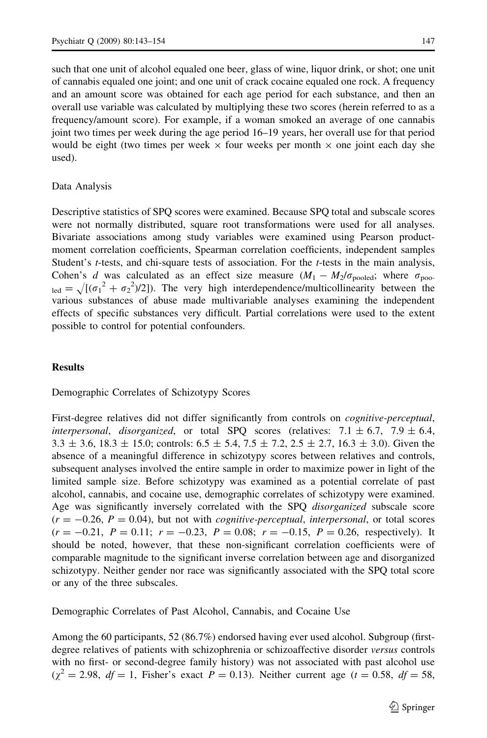such that one unit of alcohol equaled one beer, glass of wine, liquor drink, or shot; one unit of cannabis equaled one joint; and one unit of crack cocaine equaled one rock. A frequency and an amount score was obtained for each age period for each substance, and then an overall use variable was calculated by multiplying these two scores (herein referred to as a frequency/amount score). For example, if a woman smoked an average of one cannabis joint two times per week during the age period 16–19 years, her overall use for that period would be eight (two times per week  $\times$  four weeks per month  $\times$  one joint each day she used).

# Data Analysis

Descriptive statistics of SPQ scores were examined. Because SPQ total and subscale scores were not normally distributed, square root transformations were used for all analyses. Bivariate associations among study variables were examined using Pearson productmoment correlation coefficients, Spearman correlation coefficients, independent samples Student's *t*-tests, and chi-square tests of association. For the *t*-tests in the main analysis, Cohen's d was calculated as an effect size measure  $(M_1 - M_2/\sigma_{\text{pooled}})$ ; where  $\sigma_{\text{poo}}$  $H_{\text{led}} = \sqrt{[(\sigma_1^2 + \sigma_2^2)/2]}$ . The very high interdependence/multicollinearity between the various substances of abuse made multivariable analyses examining the independent effects of specific substances very difficult. Partial correlations were used to the extent possible to control for potential confounders.

# Results

Demographic Correlates of Schizotypy Scores

First-degree relatives did not differ significantly from controls on *cognitive-perceptual*, interpersonal, disorganized, or total SPQ scores (relatives:  $7.1 \pm 6.7$ ,  $7.9 \pm 6.4$ ,  $3.3 \pm 3.6$ ,  $18.3 \pm 15.0$ ; controls:  $6.5 \pm 5.4$ ,  $7.5 \pm 7.2$ ,  $2.5 \pm 2.7$ ,  $16.3 \pm 3.0$ ). Given the absence of a meaningful difference in schizotypy scores between relatives and controls, subsequent analyses involved the entire sample in order to maximize power in light of the limited sample size. Before schizotypy was examined as a potential correlate of past alcohol, cannabis, and cocaine use, demographic correlates of schizotypy were examined. Age was significantly inversely correlated with the SPQ disorganized subscale score  $(r = -0.26, P = 0.04)$ , but not with *cognitive-perceptual*, *interpersonal*, or total scores  $(r = -0.21, P = 0.11; r = -0.23, P = 0.08; r = -0.15, P = 0.26$ , respectively). It should be noted, however, that these non-significant correlation coefficients were of comparable magnitude to the significant inverse correlation between age and disorganized schizotypy. Neither gender nor race was significantly associated with the SPQ total score or any of the three subscales.

Demographic Correlates of Past Alcohol, Cannabis, and Cocaine Use

Among the 60 participants, 52 (86.7%) endorsed having ever used alcohol. Subgroup (firstdegree relatives of patients with schizophrenia or schizoaffective disorder versus controls with no first- or second-degree family history) was not associated with past alcohol use  $(\chi^2 = 2.98, df = 1, Fisher's exact P = 0.13)$ . Neither current age (t = 0.58, df = 58,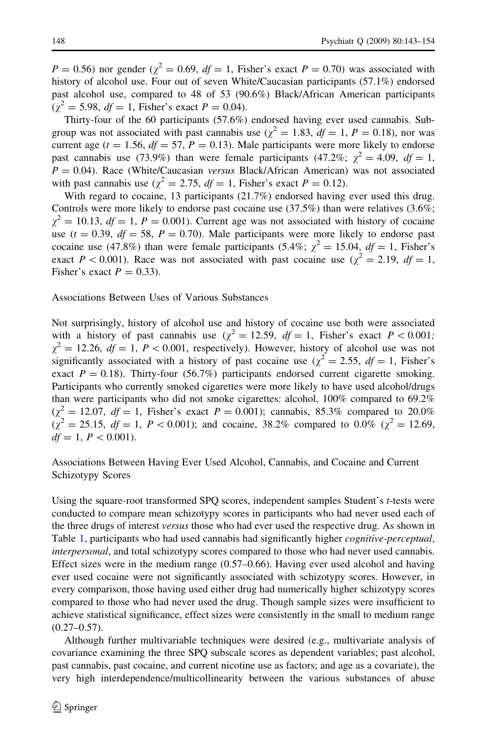$P = 0.56$ ) nor gender ( $\chi^2 = 0.69$ ,  $df = 1$ , Fisher's exact  $P = 0.70$ ) was associated with history of alcohol use. Four out of seven White/Caucasian participants (57.1%) endorsed past alcohol use, compared to 48 of 53 (90.6%) Black/African American participants  $(\gamma^2 = 5.98, df = 1, Fisher's exact P = 0.04).$ 

Thirty-four of the 60 participants (57.6%) endorsed having ever used cannabis. Subgroup was not associated with past cannabis use ( $\chi^2 = 1.83$ ,  $df = 1$ ,  $P = 0.18$ ), nor was current age ( $t = 1.56$ ,  $df = 57$ ,  $P = 0.13$ ). Male participants were more likely to endorse past cannabis use (73.9%) than were female participants (47.2%;  $\chi^2 = 4.09$ ,  $df = 1$ ,  $P = 0.04$ ). Race (White/Caucasian versus Black/African American) was not associated with past cannabis use ( $\chi^2 = 2.75$ ,  $df = 1$ , Fisher's exact  $P = 0.12$ ).

With regard to cocaine, 13 participants (21.7%) endorsed having ever used this drug. Controls were more likely to endorse past cocaine use (37.5%) than were relatives (3.6%;  $\chi^2 = 10.13$ ,  $df = 1$ ,  $P = 0.001$ ). Current age was not associated with history of cocaine use ( $t = 0.39$ ,  $df = 58$ ,  $P = 0.70$ ). Male participants were more likely to endorse past cocaine use (47.8%) than were female participants (5.4%;  $\chi^2 = 15.04$ ,  $df = 1$ , Fisher's exact  $P < 0.001$ ). Race was not associated with past cocaine use ( $\gamma^2 = 2.19$ , df = 1, Fisher's exact  $P = 0.33$ ).

### Associations Between Uses of Various Substances

Not surprisingly, history of alcohol use and history of cocaine use both were associated with a history of past cannabis use ( $\chi^2 = 12.59$ ,  $df = 1$ , Fisher's exact  $P < 0.001$ ;  $\chi^2 = 12.26$ ,  $df = 1$ ,  $P < 0.001$ , respectively). However, history of alcohol use was not significantly associated with a history of past cocaine use ( $\chi^2 = 2.55$ ,  $df = 1$ , Fisher's exact  $P = 0.18$ ). Thirty-four (56.7%) participants endorsed current cigarette smoking. Participants who currently smoked cigarettes were more likely to have used alcohol/drugs than were participants who did not smoke cigarettes: alcohol, 100% compared to 69.2%  $(\chi^2 = 12.07, df = 1, Fisher's exact P = 0.001)$ ; cannabis, 85.3% compared to 20.0%  $(\chi^2 = 25.15, df = 1, P < 0.001)$ ; and cocaine, 38.2% compared to 0.0% ( $\chi^2 = 12.69$ ,  $df = 1, P < 0.001$ .

Associations Between Having Ever Used Alcohol, Cannabis, and Cocaine and Current Schizotypy Scores

Using the square-root transformed SPQ scores, independent samples Student's t-tests were conducted to compare mean schizotypy scores in participants who had never used each of the three drugs of interest versus those who had ever used the respective drug. As shown in Table [1](#page-6-0), participants who had used cannabis had significantly higher *cognitive-perceptual*, interpersonal, and total schizotypy scores compared to those who had never used cannabis. Effect sizes were in the medium range (0.57–0.66). Having ever used alcohol and having ever used cocaine were not significantly associated with schizotypy scores. However, in every comparison, those having used either drug had numerically higher schizotypy scores compared to those who had never used the drug. Though sample sizes were insufficient to achieve statistical significance, effect sizes were consistently in the small to medium range  $(0.27 - 0.57)$ .

Although further multivariable techniques were desired (e.g., multivariate analysis of covariance examining the three SPQ subscale scores as dependent variables; past alcohol, past cannabis, past cocaine, and current nicotine use as factors; and age as a covariate), the very high interdependence/multicollinearity between the various substances of abuse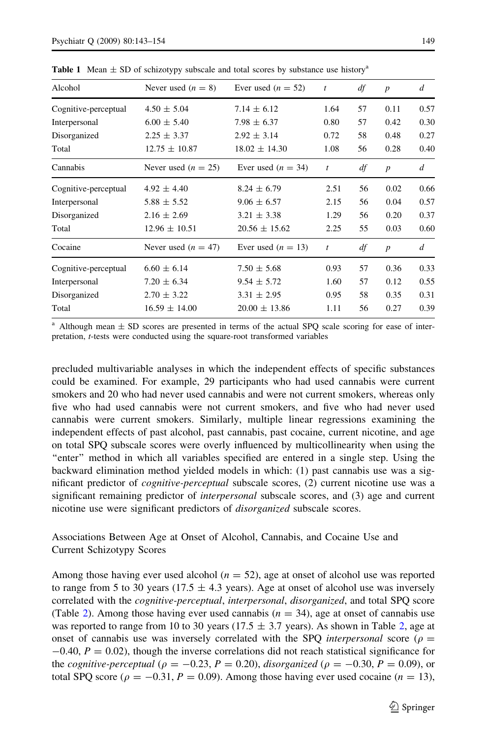| Alcohol              | Never used $(n = 8)$<br>Ever used $(n = 52)$ |                                          | $\mathfrak{t}$ | df | $\boldsymbol{p}$ | $\boldsymbol{d}$ |
|----------------------|----------------------------------------------|------------------------------------------|----------------|----|------------------|------------------|
| Cognitive-perceptual | $4.50 \pm 5.04$                              | $7.14 \pm 6.12$                          | 1.64           | 57 | 0.11             | 0.57             |
| Interpersonal        | $6.00 \pm 5.40$                              | $7.98 \pm 6.37$                          | 0.80           | 57 | 0.42             | 0.30             |
| Disorganized         | $2.25 \pm 3.37$                              | $2.92 \pm 3.14$                          |                | 58 | 0.48             | 0.27             |
| Total                | $12.75 \pm 10.87$                            | $18.02 \pm 14.30$                        | 1.08           | 56 | 0.28             | 0.40             |
| Cannabis             | Never used $(n = 25)$                        | Ever used $(n = 34)$<br>$\boldsymbol{t}$ |                | df | $\boldsymbol{p}$ | $\boldsymbol{d}$ |
| Cognitive-perceptual | $4.92 \pm 4.40$                              | $8.24 \pm 6.79$                          | 2.51           | 56 | 0.02             | 0.66             |
| Interpersonal        | $5.88 \pm 5.52$                              | $9.06 \pm 6.57$                          | 2.15           | 56 | 0.04             | 0.57             |
| Disorganized         | $2.16 \pm 2.69$                              | $3.21 \pm 3.38$                          | 1.29           | 56 | 0.20             | 0.37             |
| Total                | $12.96 \pm 10.51$                            | $20.56 \pm 15.62$                        | 2.25           | 55 | 0.03             | 0.60             |
| Cocaine              | Never used $(n = 47)$                        | Ever used $(n = 13)$                     | t              | df | $\boldsymbol{p}$ | $\boldsymbol{d}$ |
| Cognitive-perceptual | $6.60 \pm 6.14$                              | $7.50 \pm 5.68$                          | 0.93           | 57 | 0.36             | 0.33             |
| Interpersonal        | $7.20 \pm 6.34$                              | $9.54 \pm 5.72$                          | 1.60           | 57 | 0.12             | 0.55             |
| Disorganized         | $2.70 \pm 3.22$                              | $3.31 \pm 2.95$                          | 0.95           | 58 | 0.35             | 0.31             |
| Total                | $16.59 \pm 14.00$                            | $20.00 \pm 13.86$                        | 1.11           | 56 | 0.27             | 0.39             |

<span id="page-6-0"></span>**Table 1** Mean  $\pm$  SD of schizotypy subscale and total scores by substance use history<sup>a</sup>

<sup>a</sup> Although mean ± SD scores are presented in terms of the actual SPQ scale scoring for ease of interpretation, t-tests were conducted using the square-root transformed variables

precluded multivariable analyses in which the independent effects of specific substances could be examined. For example, 29 participants who had used cannabis were current smokers and 20 who had never used cannabis and were not current smokers, whereas only five who had used cannabis were not current smokers, and five who had never used cannabis were current smokers. Similarly, multiple linear regressions examining the independent effects of past alcohol, past cannabis, past cocaine, current nicotine, and age on total SPQ subscale scores were overly influenced by multicollinearity when using the ''enter'' method in which all variables specified are entered in a single step. Using the backward elimination method yielded models in which: (1) past cannabis use was a significant predictor of *cognitive-perceptual* subscale scores, (2) current nicotine use was a significant remaining predictor of *interpersonal* subscale scores, and (3) age and current nicotine use were significant predictors of disorganized subscale scores.

Associations Between Age at Onset of Alcohol, Cannabis, and Cocaine Use and Current Schizotypy Scores

Among those having ever used alcohol ( $n = 52$ ), age at onset of alcohol use was reported to range from 5 to 30 years (17.5  $\pm$  4.3 years). Age at onset of alcohol use was inversely correlated with the cognitive-perceptual, interpersonal, disorganized, and total SPQ score (Table [2](#page-7-0)). Among those having ever used cannabis  $(n = 34)$ , age at onset of cannabis use was reported to range from 10 to 30 years (17.5  $\pm$  3.7 years). As shown in Table [2](#page-7-0), age at onset of cannabis use was inversely correlated with the SPQ *interpersonal* score ( $\rho =$  $-0.40$ ,  $P = 0.02$ ), though the inverse correlations did not reach statistical significance for the cognitive-perceptual ( $\rho = -0.23$ ,  $P = 0.20$ ), disorganized ( $\rho = -0.30$ ,  $P = 0.09$ ), or total SPQ score ( $\rho = -0.31$ ,  $P = 0.09$ ). Among those having ever used cocaine ( $n = 13$ ),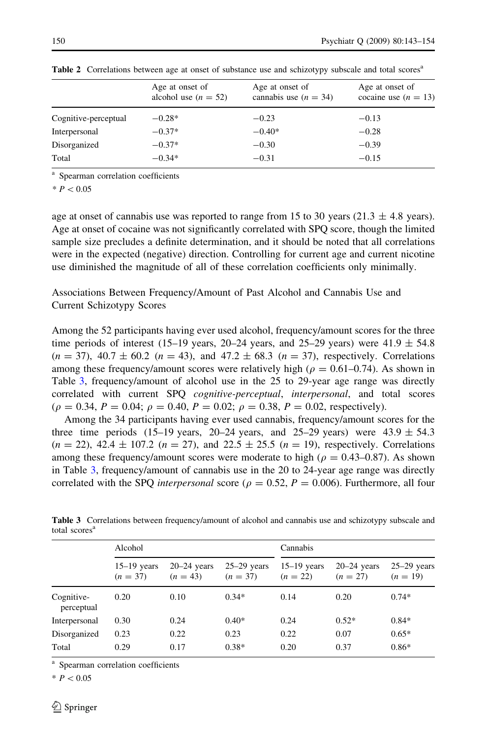|                      | Age at onset of<br>alcohol use $(n = 52)$ | Age at onset of<br>cannabis use $(n = 34)$ | Age at onset of<br>cocaine use $(n = 13)$ |
|----------------------|-------------------------------------------|--------------------------------------------|-------------------------------------------|
| Cognitive-perceptual | $-0.28*$                                  | $-0.23$                                    | $-0.13$                                   |
| Interpersonal        | $-0.37*$                                  | $-0.40*$                                   | $-0.28$                                   |
| Disorganized         | $-0.37*$                                  | $-0.30$                                    | $-0.39$                                   |
| Total                | $-0.34*$                                  | $-0.31$                                    | $-0.15$                                   |
|                      |                                           |                                            |                                           |

<span id="page-7-0"></span>Table 2 Correlations between age at onset of substance use and schizotypy subscale and total scores<sup>a</sup>

Spearman correlation coefficients

 $* P < 0.05$ 

age at onset of cannabis use was reported to range from 15 to 30 years (21.3  $\pm$  4.8 years). Age at onset of cocaine was not significantly correlated with SPQ score, though the limited sample size precludes a definite determination, and it should be noted that all correlations were in the expected (negative) direction. Controlling for current age and current nicotine use diminished the magnitude of all of these correlation coefficients only minimally.

Associations Between Frequency/Amount of Past Alcohol and Cannabis Use and Current Schizotypy Scores

Among the 52 participants having ever used alcohol, frequency/amount scores for the three time periods of interest (15–19 years, 20–24 years, and 25–29 years) were  $41.9 \pm 54.8$  $(n = 37)$ , 40.7  $\pm$  60.2  $(n = 43)$ , and 47.2  $\pm$  68.3  $(n = 37)$ , respectively. Correlations among these frequency/amount scores were relatively high ( $\rho = 0.61{\text -}0.74$ ). As shown in Table 3, frequency/amount of alcohol use in the 25 to 29-year age range was directly correlated with current SPQ cognitive-perceptual, interpersonal, and total scores  $(\rho = 0.34, P = 0.04; \rho = 0.40, P = 0.02; \rho = 0.38, P = 0.02$ , respectively).

Among the 34 participants having ever used cannabis, frequency/amount scores for the three time periods (15–19 years, 20–24 years, and 25–29 years) were  $43.9 \pm 54.3$  $(n = 22)$ , 42.4  $\pm$  107.2  $(n = 27)$ , and 22.5  $\pm$  25.5  $(n = 19)$ , respectively. Correlations among these frequency/amount scores were moderate to high ( $\rho = 0.43{\text -}0.87$ ). As shown in Table 3, frequency/amount of cannabis use in the 20 to 24-year age range was directly correlated with the SPQ interpersonal score ( $\rho = 0.52$ ,  $P = 0.006$ ). Furthermore, all four

|                          | Alcohol                     |                             |                             | Cannabis                    |                             |                             |
|--------------------------|-----------------------------|-----------------------------|-----------------------------|-----------------------------|-----------------------------|-----------------------------|
|                          | $15-19$ years<br>$(n = 37)$ | $20-24$ years<br>$(n = 43)$ | $25-29$ years<br>$(n = 37)$ | $15-19$ years<br>$(n = 22)$ | $20-24$ years<br>$(n = 27)$ | $25-29$ years<br>$(n = 19)$ |
| Cognitive-<br>perceptual | 0.20                        | 0.10                        | $0.34*$                     | 0.14                        | 0.20                        | $0.74*$                     |
| Interpersonal            | 0.30                        | 0.24                        | $0.40*$                     | 0.24                        | $0.52*$                     | $0.84*$                     |
| Disorganized             | 0.23                        | 0.22                        | 0.23                        | 0.22                        | 0.07                        | $0.65*$                     |
| Total                    | 0.29                        | 0.17                        | $0.38*$                     | 0.20                        | 0.37                        | $0.86*$                     |

Table 3 Correlations between frequency/amount of alcohol and cannabis use and schizotypy subscale and total scores<sup>a</sup>

Spearman correlation coefficients

 $* P < 0.05$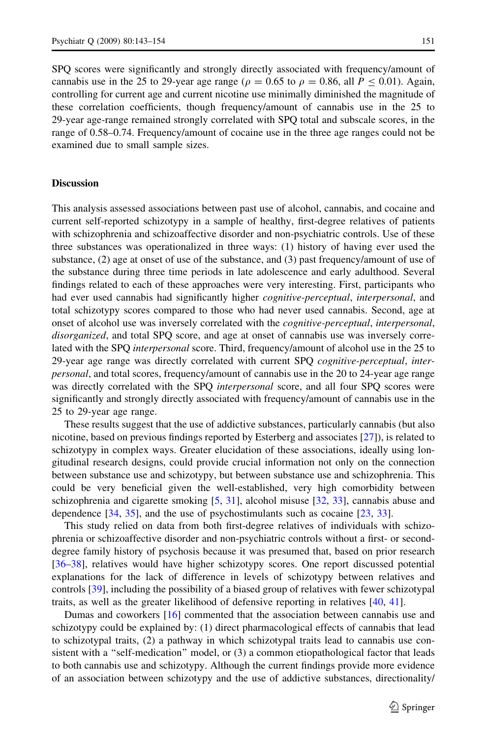SPQ scores were significantly and strongly directly associated with frequency/amount of cannabis use in the 25 to 29-year age range ( $\rho = 0.65$  to  $\rho = 0.86$ , all  $P < 0.01$ ). Again, controlling for current age and current nicotine use minimally diminished the magnitude of these correlation coefficients, though frequency/amount of cannabis use in the 25 to 29-year age-range remained strongly correlated with SPQ total and subscale scores, in the range of 0.58–0.74. Frequency/amount of cocaine use in the three age ranges could not be examined due to small sample sizes.

### **Discussion**

This analysis assessed associations between past use of alcohol, cannabis, and cocaine and current self-reported schizotypy in a sample of healthy, first-degree relatives of patients with schizophrenia and schizoaffective disorder and non-psychiatric controls. Use of these three substances was operationalized in three ways: (1) history of having ever used the substance, (2) age at onset of use of the substance, and (3) past frequency/amount of use of the substance during three time periods in late adolescence and early adulthood. Several findings related to each of these approaches were very interesting. First, participants who had ever used cannabis had significantly higher *cognitive-perceptual*, *interpersonal*, and total schizotypy scores compared to those who had never used cannabis. Second, age at onset of alcohol use was inversely correlated with the cognitive-perceptual, interpersonal, disorganized, and total SPQ score, and age at onset of cannabis use was inversely correlated with the SPQ interpersonal score. Third, frequency/amount of alcohol use in the 25 to 29-year age range was directly correlated with current SPQ cognitive-perceptual, interpersonal, and total scores, frequency/amount of cannabis use in the 20 to 24-year age range was directly correlated with the SPQ interpersonal score, and all four SPQ scores were significantly and strongly directly associated with frequency/amount of cannabis use in the 25 to 29-year age range.

These results suggest that the use of addictive substances, particularly cannabis (but also nicotine, based on previous findings reported by Esterberg and associates [\[27\]](#page-10-0)), is related to schizotypy in complex ways. Greater elucidation of these associations, ideally using longitudinal research designs, could provide crucial information not only on the connection between substance use and schizotypy, but between substance use and schizophrenia. This could be very beneficial given the well-established, very high comorbidity between schizophrenia and cigarette smoking [[5](#page-9-0), [31](#page-10-0)], alcohol misuse [\[32,](#page-10-0) [33\]](#page-10-0), cannabis abuse and dependence [[34](#page-11-0), [35](#page-11-0)], and the use of psychostimulants such as cocaine [\[23,](#page-10-0) [33\]](#page-10-0).

This study relied on data from both first-degree relatives of individuals with schizophrenia or schizoaffective disorder and non-psychiatric controls without a first- or seconddegree family history of psychosis because it was presumed that, based on prior research [[36–38\]](#page-11-0), relatives would have higher schizotypy scores. One report discussed potential explanations for the lack of difference in levels of schizotypy between relatives and controls [[39](#page-11-0)], including the possibility of a biased group of relatives with fewer schizotypal traits, as well as the greater likelihood of defensive reporting in relatives [\[40,](#page-11-0) [41\]](#page-11-0).

Dumas and coworkers [[16](#page-10-0)] commented that the association between cannabis use and schizotypy could be explained by: (1) direct pharmacological effects of cannabis that lead to schizotypal traits, (2) a pathway in which schizotypal traits lead to cannabis use consistent with a "self-medication" model, or (3) a common etiopathological factor that leads to both cannabis use and schizotypy. Although the current findings provide more evidence of an association between schizotypy and the use of addictive substances, directionality/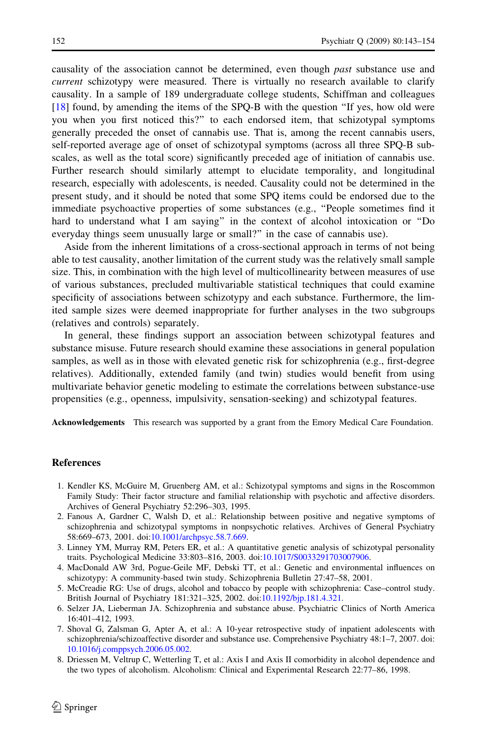<span id="page-9-0"></span>causality of the association cannot be determined, even though past substance use and current schizotypy were measured. There is virtually no research available to clarify causality. In a sample of 189 undergraduate college students, Schiffman and colleagues [[18](#page-10-0)] found, by amending the items of the SPQ-B with the question ''If yes, how old were you when you first noticed this?'' to each endorsed item, that schizotypal symptoms generally preceded the onset of cannabis use. That is, among the recent cannabis users, self-reported average age of onset of schizotypal symptoms (across all three SPQ-B subscales, as well as the total score) significantly preceded age of initiation of cannabis use. Further research should similarly attempt to elucidate temporality, and longitudinal research, especially with adolescents, is needed. Causality could not be determined in the present study, and it should be noted that some SPQ items could be endorsed due to the immediate psychoactive properties of some substances (e.g., ''People sometimes find it hard to understand what I am saying'' in the context of alcohol intoxication or ''Do everyday things seem unusually large or small?'' in the case of cannabis use).

Aside from the inherent limitations of a cross-sectional approach in terms of not being able to test causality, another limitation of the current study was the relatively small sample size. This, in combination with the high level of multicollinearity between measures of use of various substances, precluded multivariable statistical techniques that could examine specificity of associations between schizotypy and each substance. Furthermore, the limited sample sizes were deemed inappropriate for further analyses in the two subgroups (relatives and controls) separately.

In general, these findings support an association between schizotypal features and substance misuse. Future research should examine these associations in general population samples, as well as in those with elevated genetic risk for schizophrenia (e.g., first-degree relatives). Additionally, extended family (and twin) studies would benefit from using multivariate behavior genetic modeling to estimate the correlations between substance-use propensities (e.g., openness, impulsivity, sensation-seeking) and schizotypal features.

Acknowledgements This research was supported by a grant from the Emory Medical Care Foundation.

#### **References**

- 1. Kendler KS, McGuire M, Gruenberg AM, et al.: Schizotypal symptoms and signs in the Roscommon Family Study: Their factor structure and familial relationship with psychotic and affective disorders. Archives of General Psychiatry 52:296–303, 1995.
- 2. Fanous A, Gardner C, Walsh D, et al.: Relationship between positive and negative symptoms of schizophrenia and schizotypal symptoms in nonpsychotic relatives. Archives of General Psychiatry 58:669–673, 2001. doi[:10.1001/archpsyc.58.7.669](http://dx.doi.org/10.1001/archpsyc.58.7.669).
- 3. Linney YM, Murray RM, Peters ER, et al.: A quantitative genetic analysis of schizotypal personality traits. Psychological Medicine 33:803–816, 2003. doi[:10.1017/S0033291703007906](http://dx.doi.org/10.1017/S0033291703007906).
- 4. MacDonald AW 3rd, Pogue-Geile MF, Debski TT, et al.: Genetic and environmental influences on schizotypy: A community-based twin study. Schizophrenia Bulletin 27:47–58, 2001.
- 5. McCreadie RG: Use of drugs, alcohol and tobacco by people with schizophrenia: Case–control study. British Journal of Psychiatry 181:321–325, 2002. doi[:10.1192/bjp.181.4.321](http://dx.doi.org/10.1192/bjp.181.4.321).
- 6. Selzer JA, Lieberman JA. Schizophrenia and substance abuse. Psychiatric Clinics of North America 16:401–412, 1993.
- 7. Shoval G, Zalsman G, Apter A, et al.: A 10-year retrospective study of inpatient adolescents with schizophrenia/schizoaffective disorder and substance use. Comprehensive Psychiatry 48:1–7, 2007. doi: [10.1016/j.comppsych.2006.05.002.](http://dx.doi.org/10.1016/j.comppsych.2006.05.002)
- 8. Driessen M, Veltrup C, Wetterling T, et al.: Axis I and Axis II comorbidity in alcohol dependence and the two types of alcoholism. Alcoholism: Clinical and Experimental Research 22:77–86, 1998.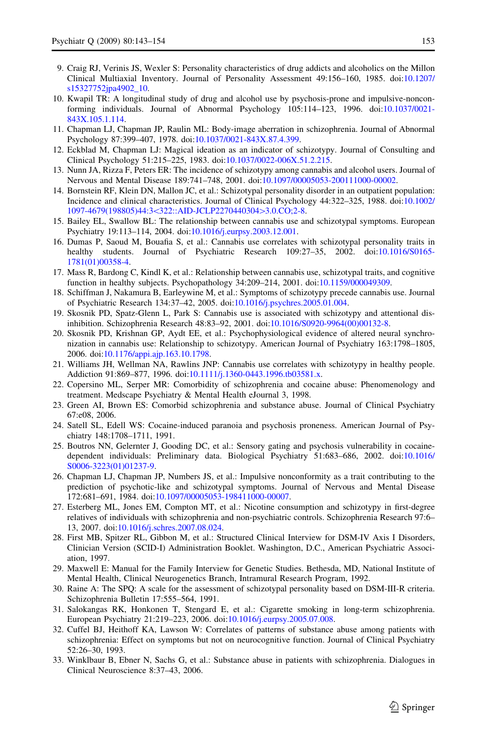- <span id="page-10-0"></span>9. Craig RJ, Verinis JS, Wexler S: Personality characteristics of drug addicts and alcoholics on the Millon Clinical Multiaxial Inventory. Journal of Personality Assessment 49:156–160, 1985. doi:[10.1207/](http://dx.doi.org/10.1207/s15327752jpa4902_10) [s15327752jpa4902\\_10](http://dx.doi.org/10.1207/s15327752jpa4902_10).
- 10. Kwapil TR: A longitudinal study of drug and alcohol use by psychosis-prone and impulsive-nonconforming individuals. Journal of Abnormal Psychology 105:114–123, 1996. doi[:10.1037/0021-](http://dx.doi.org/10.1037/0021-843X.105.1.114) [843X.105.1.114](http://dx.doi.org/10.1037/0021-843X.105.1.114).
- 11. Chapman LJ, Chapman JP, Raulin ML: Body-image aberration in schizophrenia. Journal of Abnormal Psychology 87:399–407, 1978. doi[:10.1037/0021-843X.87.4.399](http://dx.doi.org/10.1037/0021-843X.87.4.399).
- 12. Eckblad M, Chapman LJ: Magical ideation as an indicator of schizotypy. Journal of Consulting and Clinical Psychology 51:215–225, 1983. doi[:10.1037/0022-006X.51.2.215](http://dx.doi.org/10.1037/0022-006X.51.2.215).
- 13. Nunn JA, Rizza F, Peters ER: The incidence of schizotypy among cannabis and alcohol users. Journal of Nervous and Mental Disease 189:741–748, 2001. doi:[10.1097/00005053-200111000-00002](http://dx.doi.org/10.1097/00005053-200111000-00002).
- 14. Bornstein RF, Klein DN, Mallon JC, et al.: Schizotypal personality disorder in an outpatient population: Incidence and clinical characteristics. Journal of Clinical Psychology 44:322–325, 1988. doi:[10.1002/](http://dx.doi.org/10.1002/1097-4679(198805)44:3%3c322::AID-JCLP2270440304%3e3.0.CO;2-8) 1097-4679(198805)44:3<[322::AID-JCLP2270440304](http://dx.doi.org/10.1002/1097-4679(198805)44:3%3c322::AID-JCLP2270440304%3e3.0.CO;2-8)>3.0.CO;2-8.
- 15. Bailey EL, Swallow BL: The relationship between cannabis use and schizotypal symptoms. European Psychiatry 19:113–114, 2004. doi:[10.1016/j.eurpsy.2003.12.001.](http://dx.doi.org/10.1016/j.eurpsy.2003.12.001)
- 16. Dumas P, Saoud M, Bouafia S, et al.: Cannabis use correlates with schizotypal personality traits in healthy students. Journal of Psychiatric Research 109:27–35, 2002. doi:[10.1016/S0165-](http://dx.doi.org/10.1016/S0165-1781(01)00358-4) [1781\(01\)00358-4](http://dx.doi.org/10.1016/S0165-1781(01)00358-4).
- 17. Mass R, Bardong C, Kindl K, et al.: Relationship between cannabis use, schizotypal traits, and cognitive function in healthy subjects. Psychopathology 34:209–214, 2001. doi[:10.1159/000049309](http://dx.doi.org/10.1159/000049309).
- 18. Schiffman J, Nakamura B, Earleywine M, et al.: Symptoms of schizotypy precede cannabis use. Journal of Psychiatric Research 134:37–42, 2005. doi:[10.1016/j.psychres.2005.01.004](http://dx.doi.org/10.1016/j.psychres.2005.01.004).
- 19. Skosnik PD, Spatz-Glenn L, Park S: Cannabis use is associated with schizotypy and attentional disinhibition. Schizophrenia Research 48:83–92, 2001. doi[:10.1016/S0920-9964\(00\)00132-8.](http://dx.doi.org/10.1016/S0920-9964(00)00132-8)
- 20. Skosnik PD, Krishnan GP, Aydt EE, et al.: Psychophysiological evidence of altered neural synchronization in cannabis use: Relationship to schizotypy. American Journal of Psychiatry 163:1798–1805, 2006. doi:[10.1176/appi.ajp.163.10.1798.](http://dx.doi.org/10.1176/appi.ajp.163.10.1798)
- 21. Williams JH, Wellman NA, Rawlins JNP: Cannabis use correlates with schizotypy in healthy people. Addiction 91:869–877, 1996. doi:[10.1111/j.1360-0443.1996.tb03581.x](http://dx.doi.org/10.1111/j.1360-0443.1996.tb03581.x).
- 22. Copersino ML, Serper MR: Comorbidity of schizophrenia and cocaine abuse: Phenomenology and treatment. Medscape Psychiatry & Mental Health eJournal 3, 1998.
- 23. Green AI, Brown ES: Comorbid schizophrenia and substance abuse. Journal of Clinical Psychiatry 67:e08, 2006.
- 24. Satell SL, Edell WS: Cocaine-induced paranoia and psychosis proneness. American Journal of Psychiatry 148:1708–1711, 1991.
- 25. Boutros NN, Gelernter J, Gooding DC, et al.: Sensory gating and psychosis vulnerability in cocainedependent individuals: Preliminary data. Biological Psychiatry 51:683–686, 2002. doi:[10.1016/](http://dx.doi.org/10.1016/S0006-3223(01)01237-9) [S0006-3223\(01\)01237-9](http://dx.doi.org/10.1016/S0006-3223(01)01237-9).
- 26. Chapman LJ, Chapman JP, Numbers JS, et al.: Impulsive nonconformity as a trait contributing to the prediction of psychotic-like and schizotypal symptoms. Journal of Nervous and Mental Disease 172:681–691, 1984. doi[:10.1097/00005053-198411000-00007](http://dx.doi.org/10.1097/00005053-198411000-00007).
- 27. Esterberg ML, Jones EM, Compton MT, et al.: Nicotine consumption and schizotypy in first-degree relatives of individuals with schizophrenia and non-psychiatric controls. Schizophrenia Research 97:6– 13, 2007. doi[:10.1016/j.schres.2007.08.024](http://dx.doi.org/10.1016/j.schres.2007.08.024).
- 28. First MB, Spitzer RL, Gibbon M, et al.: Structured Clinical Interview for DSM-IV Axis I Disorders, Clinician Version (SCID-I) Administration Booklet. Washington, D.C., American Psychiatric Association, 1997.
- 29. Maxwell E: Manual for the Family Interview for Genetic Studies. Bethesda, MD, National Institute of Mental Health, Clinical Neurogenetics Branch, Intramural Research Program, 1992.
- 30. Raine A: The SPQ: A scale for the assessment of schizotypal personality based on DSM-III-R criteria. Schizophrenia Bulletin 17:555–564, 1991.
- 31. Salokangas RK, Honkonen T, Stengard E, et al.: Cigarette smoking in long-term schizophrenia. European Psychiatry 21:219–223, 2006. doi:[10.1016/j.eurpsy.2005.07.008.](http://dx.doi.org/10.1016/j.eurpsy.2005.07.008)
- 32. Cuffel BJ, Heithoff KA, Lawson W: Correlates of patterns of substance abuse among patients with schizophrenia: Effect on symptoms but not on neurocognitive function. Journal of Clinical Psychiatry 52:26–30, 1993.
- 33. Winklbaur B, Ebner N, Sachs G, et al.: Substance abuse in patients with schizophrenia. Dialogues in Clinical Neuroscience 8:37–43, 2006.